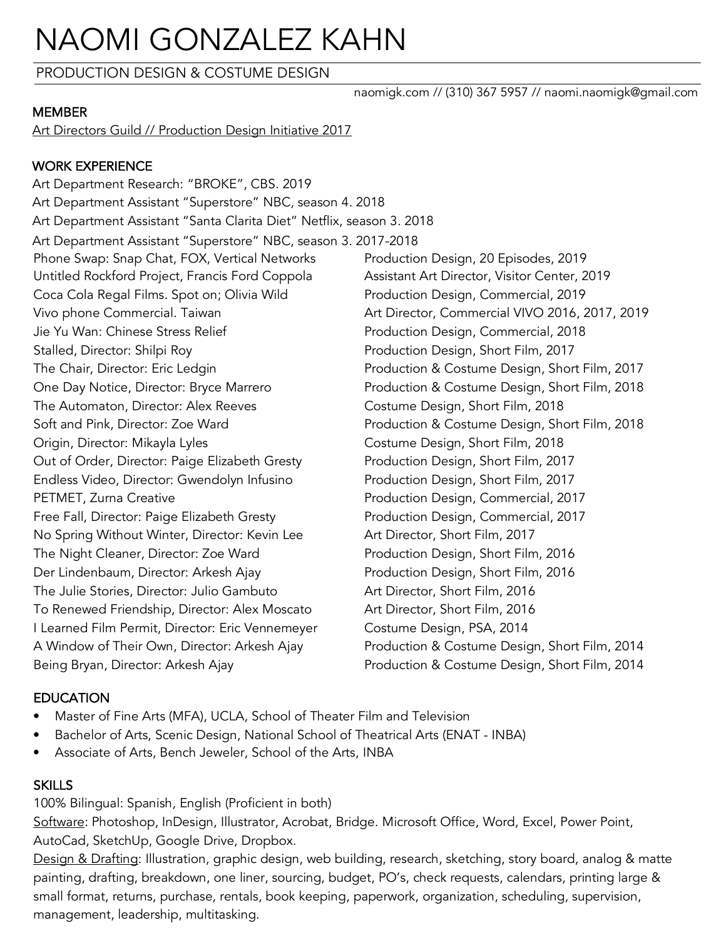# NAOMI GONZALEZ KAHN

PRODUCTION DESIGN & COSTUME DESIGN

#### MEMBER

Art Directors Guild // Production Design Initiative 2017

## WORK EXPERIENCE

Art Department Research: "BROKE", CBS. 2019 Art Department Assistant "Superstore" NBC, season 4. 2018 Art Department Assistant "Santa Clarita Diet" Netflix, season 3. 2018 Art Department Assistant "Superstore" NBC, season 3. 2017-2018 Phone Swap: Snap Chat, FOX, Vertical Networks Production Design, 20 Episodes, 2019 Untitled Rockford Project, Francis Ford Coppola Assistant Art Director, Visitor Center, 2019 Coca Cola Regal Films. Spot on; Olivia Wild Production Design, Commercial, 2019 Vivo phone Commercial. Taiwan Art Director, Commercial VIVO 2016, 2017, 2019 Jie Yu Wan: Chinese Stress Relief **Production Design, Commercial, 2018** Stalled, Director: Shilpi Roy **Production Design, Short Film, 2017** The Chair, Director: Eric Ledgin Production & Costume Design, Short Film, 2017 One Day Notice, Director: Bryce Marrero Production & Costume Design, Short Film, 2018 The Automaton, Director: Alex Reeves Costume Design, Short Film, 2018 Soft and Pink, Director: Zoe Ward **Production & Costume Design, Short Film, 2018** Origin, Director: Mikayla Lyles Costume Design, Short Film, 2018 Out of Order, Director: Paige Elizabeth Gresty Production Design, Short Film, 2017 Endless Video, Director: Gwendolyn Infusino Production Design, Short Film, 2017 PETMET, Zurna Creative **PETMET**, Zurna Creative **Production Design, Commercial**, 2017 Free Fall, Director: Paige Elizabeth Gresty **Production Design, Commercial, 2017** No Spring Without Winter, Director: Kevin Lee Art Director, Short Film, 2017 The Night Cleaner, Director: Zoe Ward Production Design, Short Film, 2016 Der Lindenbaum, Director: Arkesh Ajay Production Design, Short Film, 2016 The Julie Stories, Director: Julio Gambuto Art Director, Short Film, 2016 To Renewed Friendship, Director: Alex Moscato Art Director, Short Film, 2016 I Learned Film Permit, Director: Eric Vennemeyer Costume Design, PSA, 2014 A Window of Their Own, Director: Arkesh Ajay Production & Costume Design, Short Film, 2014 Being Bryan, Director: Arkesh Ajay **Production & Costume Design, Short Film, 2014** 

# **EDUCATION**

- Master of Fine Arts (MFA), UCLA, School of Theater Film and Television
- Bachelor of Arts, Scenic Design, National School of Theatrical Arts (ENAT INBA)
- Associate of Arts, Bench Jeweler, School of the Arts, INBA

# **SKILLS**

100% Bilingual: Spanish, English (Proficient in both)

Software: Photoshop, InDesign, Illustrator, Acrobat, Bridge. Microsoft Office, Word, Excel, Power Point, AutoCad, SketchUp, Google Drive, Dropbox.

Design & Drafting: Illustration, graphic design, web building, research, sketching, story board, analog & matte painting, drafting, breakdown, one liner, sourcing, budget, PO's, check requests, calendars, printing large & small format, returns, purchase, rentals, book keeping, paperwork, organization, scheduling, supervision, management, leadership, multitasking.

naomigk.com // (310) 367 5957 // naomi.naomigk@gmail.com